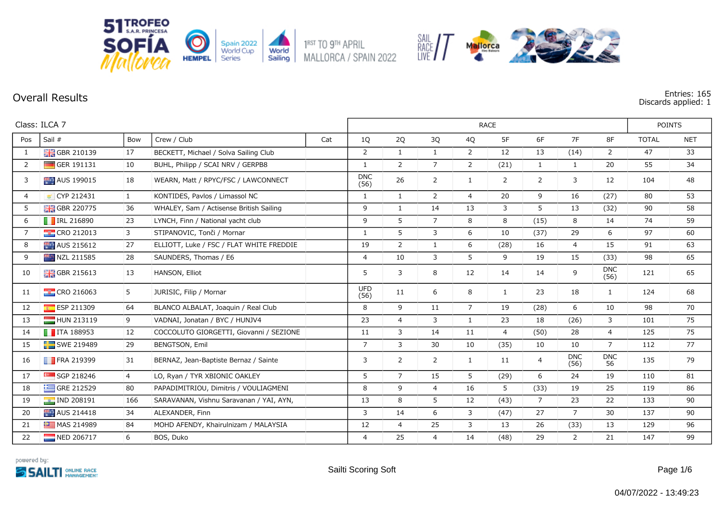

**Overall Results Entries: 165 Discards applied: 1**

|                | Class: ILCA 7             |                | <b>RACE</b>                              |     |                    |                |                |                |                |                |                    | <b>POINTS</b>      |              |            |
|----------------|---------------------------|----------------|------------------------------------------|-----|--------------------|----------------|----------------|----------------|----------------|----------------|--------------------|--------------------|--------------|------------|
| Pos            | Sail #                    | Bow            | Crew / Club                              | Cat | 1Q                 | 2Q             | 3Q             | 4Q             | 5F             | 6F             | 7F                 | 8F                 | <b>TOTAL</b> | <b>NET</b> |
| $\mathbf{1}$   | <b>H</b> GBR 210139       | 17             | BECKETT, Michael / Solva Sailing Club    |     | 2                  | $\mathbf{1}$   | $\mathbf{1}$   | $\overline{2}$ | 12             | 13             | (14)               | $\overline{2}$     | 47           | 33         |
| 2              | GER 191131                | 10             | BUHL, Philipp / SCAI NRV / GERPB8        |     | -1                 | $\overline{2}$ | $\overline{7}$ | $\overline{2}$ | (21)           | $\mathbf{1}$   | $\mathbf{1}$       | 20                 | 55           | 34         |
| 3              | AUS 199015                | 18             | WEARN, Matt / RPYC/FSC / LAWCONNECT      |     | <b>DNC</b><br>(56) | 26             | $\overline{2}$ | 1              | $\overline{2}$ | 2              | 3                  | 12                 | 104          | 48         |
| $\overline{4}$ | CYP 212431                | $\mathbf{1}$   | KONTIDES, Pavlos / Limassol NC           |     | 1                  | $\mathbf{1}$   | 2              | $\overline{4}$ | 20             | 9              | 16                 | (27)               | 80           | 53         |
| 5              | <b>H</b> GBR 220775       | 36             | WHALEY, Sam / Actisense British Sailing  |     | 9                  | $\mathbf{1}$   | 14             | 13             | 3              | 5              | 13                 | (32)               | 90           | 58         |
| 6              | <b>T</b> IRL 216890       | 23             | LYNCH, Finn / National yacht club        |     | 9                  | 5              | $\overline{7}$ | 8              | 8              | (15)           | 8                  | 14                 | 74           | 59         |
| $\overline{7}$ | <b>CRO</b> 212013         | 3              | STIPANOVIC, Tonči / Mornar               |     | $\mathbf{1}$       | 5              | 3              | 6              | 10             | (37)           | 29                 | 6                  | 97           | 60         |
| 8              | AUS 215612                | 27             | ELLIOTT, Luke / FSC / FLAT WHITE FREDDIE |     | 19                 | $\overline{2}$ | $\mathbf{1}$   | 6              | (28)           | 16             | $\overline{4}$     | 15                 | 91           | 63         |
| 9              | NZL 211585                | 28             | SAUNDERS, Thomas / E6                    |     | $\overline{4}$     | 10             | 3              | 5              | 9              | 19             | 15                 | (33)               | 98           | 65         |
| 10             | <b>H</b> GBR 215613       | 13             | HANSON, Elliot                           |     | 5                  | 3              | 8              | 12             | 14             | 14             | 9                  | <b>DNC</b><br>(56) | 121          | 65         |
| 11             | $\frac{1}{2}$ CRO 216063  | 5              | JURIŠIĆ, Filip / Mornar                  |     | <b>UFD</b><br>(56) | 11             | 6              | 8              | 1              | 23             | 18                 | $\mathbf{1}$       | 124          | 68         |
| 12             | ESP 211309                | 64             | BLANCO ALBALAT, Joaquin / Real Club      |     | 8                  | 9              | 11             | $\overline{7}$ | 19             | (28)           | 6                  | 10                 | 98           | 70         |
| 13             | HUN 213119                | 9              | VADNAI, Jonatan / BYC / HUNJV4           |     | 23                 | $\overline{4}$ | 3              | 1              | 23             | 18             | (26)               | 3                  | 101          | 75         |
| 14             | $\blacksquare$ ITA 188953 | 12             | COCCOLUTO GIORGETTI, Giovanni / SEZIONE  |     | 11                 | 3              | 14             | 11             | 4              | (50)           | 28                 | 4                  | 125          | 75         |
| 15             | SWE 219489                | 29             | BENGTSON, Emil                           |     | $\overline{7}$     | 3              | 30             | 10             | (35)           | 10             | 10                 | $7^{\circ}$        | 112          | 77         |
| 16             | <b>FRA 219399</b>         | 31             | BERNAZ, Jean-Baptiste Bernaz / Sainte    |     | 3                  | $\overline{2}$ | 2              | 1              | 11             | 4              | <b>DNC</b><br>(56) | <b>DNC</b><br>56   | 135          | 79         |
| 17             | SGP 218246                | $\overline{4}$ | LO, Ryan / TYR XBIONIC OAKLEY            |     | 5                  | $\overline{7}$ | 15             | 5              | (29)           | 6              | 24                 | 19                 | 110          | 81         |
| 18             | GRE 212529                | 80             | PAPADIMITRIOU, Dimitris / VOULIAGMENI    |     | 8                  | 9              | $\overline{4}$ | 16             | 5              | (33)           | 19                 | 25                 | 119          | 86         |
| 19             | $\blacksquare$ IND 208191 | 166            | SARAVANAN, Vishnu Saravanan / YAI, AYN,  |     | 13                 | 8              | 5              | 12             | (43)           | $\overline{7}$ | 23                 | 22                 | 133          | 90         |
| 20             | AUS 214418                | 34             | ALEXANDER, Finn                          |     | 3                  | 14             | 6              | 3              | (47)           | 27             | $\overline{7}$     | 30                 | 137          | 90         |
| 21             | MAS 214989                | 84             | MOHD AFENDY, Khairulnizam / MALAYSIA     |     | 12                 | $\overline{4}$ | 25             | 3              | 13             | 26             | (33)               | 13                 | 129          | 96         |
| 22             | NED 206717                | 6              | BOS, Duko                                |     | $\overline{4}$     | 25             | $\overline{4}$ | 14             | (48)           | 29             | $\overline{2}$     | 21                 | 147          | 99         |

SAIL<br>RACE / /

Mallorca

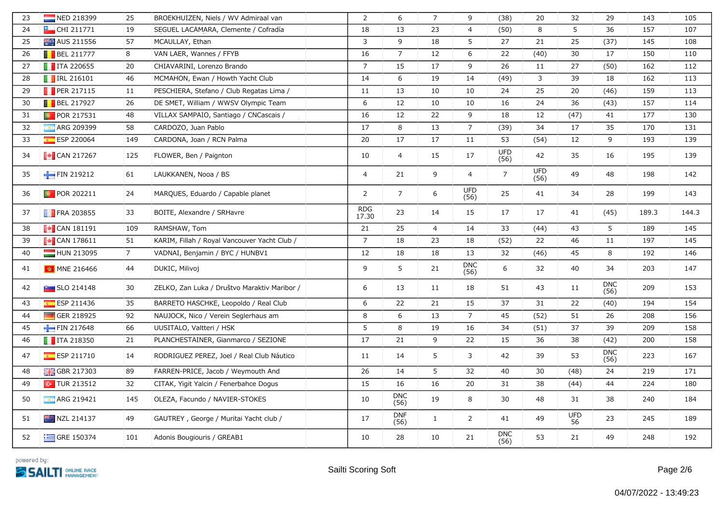| 23 | NED 218399                                                    | 25             | BROEKHUIZEN, Niels / WV Admiraal van         | $\overline{2}$      | 6                  | $\overline{7}$ | 9                  | (38)               | 20                 | 32               | 29                 | 143   | 105   |
|----|---------------------------------------------------------------|----------------|----------------------------------------------|---------------------|--------------------|----------------|--------------------|--------------------|--------------------|------------------|--------------------|-------|-------|
| 24 | $H$ CHI 211771                                                | 19             | SEGUEL LACAMARA, Clemente / Cofradía         | 18                  | 13                 | 23             | $\overline{4}$     | (50)               | 8                  | 5                | 36                 | 157   | 107   |
| 25 | AUS 211556                                                    | 57             | MCAULLAY, Ethan                              | $\overline{3}$      | 9                  | 18             | 5                  | 27                 | 21                 | 25               | (37)               | 145   | 108   |
| 26 | $\blacksquare$ BEL 211777                                     | 8              | VAN LAER, Wannes / FFYB                      | 16                  | $\overline{7}$     | 12             | 6                  | 22                 | (40)               | 30               | 17                 | 150   | 110   |
| 27 | $\blacksquare$ ITA 220655                                     | 20             | CHIAVARINI, Lorenzo Brando                   | $\overline{7}$      | 15                 | 17             | 9                  | 26                 | 11                 | 27               | (50)               | 162   | 112   |
| 28 | <b>FRL 216101</b>                                             | 46             | MCMAHON, Ewan / Howth Yacht Club             | 14                  | 6                  | 19             | 14                 | (49)               | $\mathbf{3}$       | 39               | 18                 | 162   | 113   |
| 29 | PER 217115                                                    | 11             | PESCHIERA, Stefano / Club Regatas Lima /     | 11                  | 13                 | 10             | 10                 | 24                 | 25                 | 20               | (46)               | 159   | 113   |
| 30 | $\blacksquare$ BEL 217927                                     | 26             | DE SMET, William / WWSV Olympic Team         | 6                   | 12                 | 10             | 10                 | 16                 | 24                 | 36               | (43)               | 157   | 114   |
| 31 | <b>D</b> POR 217531                                           | 48             | VILLAX SAMPAIO, Santiago / CNCascais /       | 16                  | 12                 | 22             | 9                  | 18                 | 12                 | (47)             | 41                 | 177   | 130   |
| 32 | <b>ARG 209399</b>                                             | 58             | CARDOZO, Juan Pablo                          | 17                  | 8                  | 13             | $\overline{7}$     | (39)               | 34                 | 17               | 35                 | 170   | 131   |
| 33 | <b>ESP 220064</b>                                             | 149            | CARDONA, Joan / RCN Palma                    | 20                  | 17                 | 17             | 11                 | 53                 | (54)               | 12               | 9                  | 193   | 139   |
| 34 | $\sim$ CAN 217267                                             | 125            | FLOWER, Ben / Paignton                       | 10                  | $\overline{4}$     | 15             | 17                 | <b>UFD</b><br>(56) | 42                 | 35               | 16                 | 195   | 139   |
| 35 | FIN 219212                                                    | 61             | LAUKKANEN, Nooa / BS                         | $\overline{4}$      | 21                 | 9              | $\overline{4}$     | $\overline{7}$     | <b>UFD</b><br>(56) | 49               | 48                 | 198   | 142   |
| 36 | <b>POR 202211</b>                                             | 24             | MARQUES, Eduardo / Capable planet            | 2                   | $\overline{7}$     | 6              | <b>UFD</b><br>(56) | 25                 | 41                 | 34               | 28                 | 199   | 143   |
| 37 | $\blacksquare$ FRA 203855                                     | 33             | BOITE, Alexandre / SRHavre                   | <b>RDG</b><br>17.30 | 23                 | 14             | 15                 | 17                 | 17                 | 41               | (45)               | 189.3 | 144.3 |
| 38 | $\sqrt{\phantom{a}}$ CAN 181191                               | 109            | RAMSHAW, Tom                                 | 21                  | 25                 | $\overline{4}$ | 14                 | 33                 | (44)               | 43               | 5                  | 189   | 145   |
| 39 | $\begin{bmatrix} \bullet \\ \bullet \end{bmatrix}$ CAN 178611 | 51             | KARIM, Fillah / Royal Vancouver Yacht Club / | $\overline{7}$      | 18                 | 23             | 18                 | (52)               | 22                 | 46               | 11                 | 197   | 145   |
| 40 | HUN 213095                                                    | $\overline{7}$ | VADNAI, Benjamin / BYC / HUNBV1              | 12                  | 18                 | 18             | 13                 | 32                 | (46)               | 45               | 8                  | 192   | 146   |
| 41 | MNE 216466                                                    | 44             | DUKIC, Milivoj                               | 9                   | 5                  | 21             | <b>DNC</b><br>(56) | 6                  | 32                 | 40               | 34                 | 203   | 147   |
| 42 | $\sim$ SLO 214148                                             | 30             | ZELKO, Zan Luka / Društvo Maraktiv Maribor / | 6                   | 13                 | 11             | 18                 | 51                 | 43                 | 11               | <b>DNC</b><br>(56) | 209   | 153   |
| 43 | ESP 211436                                                    | 35             | BARRETO HASCHKE, Leopoldo / Real Club        | 6                   | 22                 | 21             | 15                 | 37                 | 31                 | 22               | (40)               | 194   | 154   |
| 44 | GER 218925                                                    | 92             | NAUJOCK, Nico / Verein Seglerhaus am         | 8                   | 6                  | 13             | $7\overline{ }$    | 45                 | (52)               | 51               | 26                 | 208   | 156   |
| 45 | FIN 217648                                                    | 66             | UUSITALO, Valtteri / HSK                     | 5                   | 8                  | 19             | 16                 | 34                 | (51)               | 37               | 39                 | 209   | 158   |
| 46 | $\blacksquare$ ITA 218350                                     | 21             | PLANCHESTAINER, Gianmarco / SEZIONE          | 17                  | 21                 | 9              | 22                 | 15                 | 36                 | 38               | (42)               | 200   | 158   |
| 47 | ESP 211710                                                    | 14             | RODRIGUEZ PEREZ, Joel / Real Club Náutico    | 11                  | 14                 | 5              | 3                  | 42                 | 39                 | 53               | <b>DNC</b><br>(56) | 223   | 167   |
| 48 | <b>H</b> GBR 217303                                           | 89             | FARREN-PRICE, Jacob / Weymouth And           | 26                  | 14                 | 5              | 32                 | 40                 | 30                 | (48)             | 24                 | 219   | 171   |
| 49 | $\sim$ TUR 213512                                             | 32             | CITAK, Yigit Yalcin / Fenerbahce Dogus       | 15                  | 16                 | 16             | 20                 | 31                 | 38                 | (44)             | 44                 | 224   | 180   |
| 50 | <b>ARG 219421</b>                                             | 145            | OLEZA, Facundo / NAVIER-STOKES               | 10                  | <b>DNC</b><br>(56) | 19             | 8                  | 30                 | 48                 | 31               | 38                 | 240   | 184   |
| 51 | NZL 214137                                                    | 49             | GAUTREY, George / Muritai Yacht club /       | 17                  | <b>DNF</b><br>(56) | $\mathbf{1}$   | $\overline{2}$     | 41                 | 49                 | <b>UFD</b><br>56 | 23                 | 245   | 189   |
| 52 | GRE 150374                                                    | 101            | Adonis Bougiouris / GREAB1                   | 10                  | 28                 | 10             | 21                 | <b>DNC</b><br>(56) | 53                 | 21               | 49                 | 248   | 192   |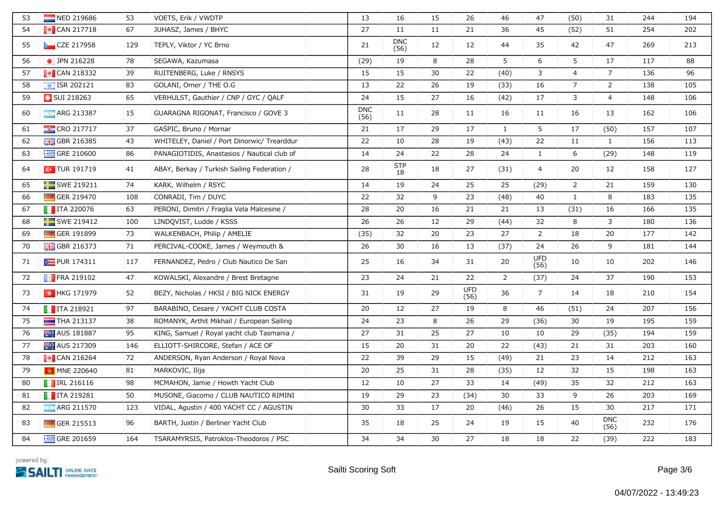| 53 | NED 219686                | 53  | VOETS, Erik / VWDTP                         | 13                 | 16                 | 15 | 26                 | 46           | 47                 | (50)           | 31                 | 244 | 194 |
|----|---------------------------|-----|---------------------------------------------|--------------------|--------------------|----|--------------------|--------------|--------------------|----------------|--------------------|-----|-----|
| 54 | $\sim$ CAN 217718         | 67  | JUHASZ, James / BHYC                        | 27                 | 11                 | 11 | 21                 | 36           | 45                 | (52)           | 51                 | 254 | 202 |
| 55 | CZE 217958                | 129 | TEPLY, Viktor / YC Brno                     | 21                 | <b>DNC</b><br>(56) | 12 | 12                 | 44           | 35                 | 42             | 47                 | 269 | 213 |
| 56 | • JPN 216228              | 78  | SEGAWA, Kazumasa                            | (29)               | 19                 | 8  | 28                 | 5            | 6                  | 5              | 17                 | 117 | 88  |
| 57 | $\blacksquare$ CAN 218332 | 39  | RUITENBERG, Luke / RNSYS                    | 15                 | 15                 | 30 | 22                 | (40)         | 3                  | $\overline{4}$ | $\overline{7}$     | 136 | 96  |
| 58 | $\sqrt{2}$ ISR 202121     | 83  | GOLANI, Omer / THE O.G                      | 13                 | 22                 | 26 | 19                 | (33)         | 16                 | $\overline{7}$ | $\overline{2}$     | 138 | 105 |
| 59 | <b>B</b> SUI 218263       | 65  | VERHULST, Gauthier / CNP / GYC / QALF       | 24                 | 15                 | 27 | 16                 | (42)         | 17                 | 3              | $\overline{4}$     | 148 | 106 |
| 60 | ARG 213387                | 15  | GUARAGNA RIGONAT, Francisco / GOVE 3        | <b>DNC</b><br>(56) | 11                 | 28 | 11                 | 16           | 11                 | 16             | 13                 | 162 | 106 |
| 61 | <b>EXP</b> CRO 217717     | 37  | GASPIC, Bruno / Mornar                      | 21                 | 17                 | 29 | 17                 | $\mathbf{1}$ | 5                  | 17             | (50)               | 157 | 107 |
| 62 | <b>H</b> GBR 216385       | 43  | WHITELEY, Daniel / Port Dinorwic/ Trearddur | 22                 | 10                 | 28 | 19                 | (43)         | 22                 | 11             | $\mathbf{1}$       | 156 | 113 |
| 63 | GRE 210600                | 86  | PANAGIOTIDIS, Anastasios / Nautical club of | 14                 | 24                 | 22 | 28                 | 24           | $\mathbf{1}$       | 6              | (29)               | 148 | 119 |
| 64 | $\sim$ TUR 191719         | 41  | ABAY, Berkay / Turkish Sailing Federation / | 28                 | <b>STP</b><br>18   | 18 | 27                 | (31)         | 4                  | 20             | 12                 | 158 | 127 |
| 65 | <b>SWE 219211</b>         | 74  | KARK, Wilhelm / RSYC                        | 14                 | 19                 | 24 | 25                 | 25           | (29)               | $\overline{2}$ | 21                 | 159 | 130 |
| 66 | GER 219470                | 108 | CONRADI, Tim / DUYC                         | 22                 | 32                 | 9  | 23                 | (48)         | 40                 | $\mathbf{1}$   | 8                  | 183 | 135 |
| 67 | $\blacksquare$ ITA 220076 | 63  | PERONI, Dimitri / Fraglia Vela Malcesine /  | 28                 | 20                 | 16 | 21                 | 21           | 13                 | (31)           | 16                 | 166 | 135 |
| 68 | SWE 219412                | 100 | LINDQVIST, Ludde / KSSS                     | 26                 | 26                 | 12 | 29                 | (44)         | 32                 | 8              | 3                  | 180 | 136 |
| 69 | GER 191899                | 73  | WALKENBACH, Philip / AMELIE                 | (35)               | 32                 | 20 | 23                 | 27           | $\overline{2}$     | 18             | 20                 | 177 | 142 |
| 70 | <b>H</b> GBR 216373       | 71  | PERCIVAL-COOKE, James / Weymouth &          | 26                 | 30                 | 16 | 13                 | (37)         | 24                 | 26             | 9                  | 181 | 144 |
| 71 | PUR 174311                | 117 | FERNANDEZ, Pedro / Club Nautico De San      | 25                 | 16                 | 34 | 31                 | 20           | <b>UFD</b><br>(56) | 10             | 10                 | 202 | 146 |
| 72 | FRA 219102                | 47  | KOWALSKI, Alexandre / Brest Bretagne        | 23                 | 24                 | 21 | 22                 | $2^{\circ}$  | (37)               | 24             | 37                 | 190 | 153 |
| 73 | B HKG 171979              | 52  | BEZY, Nicholas / HKSI / BIG NICK ENERGY     | 31                 | 19                 | 29 | <b>UFD</b><br>(56) | 36           | $\overline{7}$     | 14             | 18                 | 210 | 154 |
| 74 | $\blacksquare$ ITA 218921 | 97  | BARABINO, Cesare / YACHT CLUB COSTA         | 20                 | 12                 | 27 | 19                 | 8            | 46                 | (51)           | 24                 | 207 | 156 |
| 75 | THA 213137                | 38  | ROMANYK, Arthit Mikhail / European Sailing  | 24                 | 23                 | 8  | 26                 | 29           | (36)               | 30             | 19                 | 195 | 159 |
| 76 | AUS 181887                | 95  | KING, Samuel / Royal yacht club Tasmania /  | 27                 | 31                 | 25 | 27                 | 10           | 10                 | 29             | (35)               | 194 | 159 |
| 77 | AUS 217309                | 146 | ELLIOTT-SHIRCORE, Stefan / ACE OF           | 15                 | 20                 | 31 | 20                 | 22           | (43)               | 21             | 31                 | 203 | 160 |
| 78 | $\sim$ CAN 216264         | 72  | ANDERSON, Ryan Anderson / Royal Nova        | 22                 | 39                 | 29 | 15                 | (49)         | 21                 | 23             | 14                 | 212 | 163 |
| 79 | MNE 220640                | 81  | MARKOVIC, Ilija                             | 20                 | 25                 | 31 | 28                 | (35)         | 12                 | 32             | 15                 | 198 | 163 |
| 80 | <b>TRL 216116</b>         | 98  | MCMAHON, Jamie / Howth Yacht Club           | 12                 | 10                 | 27 | 33                 | 14           | (49)               | 35             | 32                 | 212 | 163 |
| 81 | $\blacksquare$ ITA 219281 | 50  | MUSONE, Giacomo / CLUB NAUTICO RIMINI       | 19                 | 29                 | 23 | (34)               | 30           | 33                 | 9              | 26                 | 203 | 169 |
| 82 | <b>ARG 211570</b>         | 123 | VIDAL, Agustin / 400 YACHT CC / AGUSTIN     | 30                 | 33                 | 17 | 20                 | (46)         | 26                 | 15             | 30                 | 217 | 171 |
| 83 | GER 215513                | 96  | BARTH, Justin / Berliner Yacht Club         | 35                 | 18                 | 25 | 24                 | 19           | 15                 | 40             | <b>DNC</b><br>(56) | 232 | 176 |
| 84 | GRE 201659                | 164 | TSARAMYRSIS, Patroklos-Theodoros / PSC      | 34                 | 34                 | 30 | 27                 | 18           | 18                 | 22             | (39)               | 222 | 183 |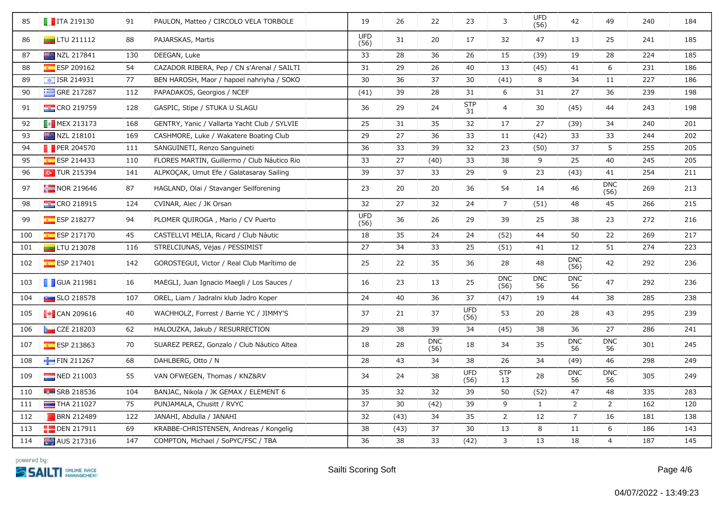| 85  | $\blacksquare$ ITA 219130 | 91  | PAULON, Matteo / CIRCOLO VELA TORBOLE        | 19                 | 26   | 22                 | 23                 | 3                  | <b>UFD</b><br>(56) | 42                 | 49                 | 240 | 184 |
|-----|---------------------------|-----|----------------------------------------------|--------------------|------|--------------------|--------------------|--------------------|--------------------|--------------------|--------------------|-----|-----|
| 86  | $\Box$ LTU 211112         | 88  | PAJARSKAS, Martis                            | <b>UFD</b><br>(56) | 31   | 20                 | 17                 | 32                 | 47                 | 13                 | 25                 | 241 | 185 |
| 87  | NZL 217841                | 130 | DEEGAN, Luke                                 | 33                 | 28   | 36                 | 26                 | 15                 | (39)               | 19                 | 28                 | 224 | 185 |
| 88  | ESP 209162                | 54  | CAZADOR RIBERA, Pep / CN s'Arenal / SAILTI   | 31                 | 29   | 26                 | 40                 | 13                 | (45)               | 41                 | 6                  | 231 | 186 |
| 89  | $\boxed{\div}$ ISR 214931 | 77  | BEN HAROSH, Maor / hapoel nahriyha / SOKO    | 30                 | 36   | 37                 | 30                 | (41)               | 8                  | 34                 | 11                 | 227 | 186 |
| 90  | GRE 217287                | 112 | PAPADAKOS, Georgios / NCEF                   | (41)               | 39   | 28                 | 31                 | 6                  | 31                 | 27                 | 36                 | 239 | 198 |
| 91  | <b>EXECRO 219759</b>      | 128 | GASPIC, Stipe / STUKA U SLAGU                | 36                 | 29   | 24                 | <b>STP</b><br>31   | 4                  | 30                 | (45)               | 44                 | 243 | 198 |
| 92  | $\blacksquare$ MEX 213173 | 168 | GENTRY, Yanic / Vallarta Yacht Club / SYLVIE | 25                 | 31   | 35                 | 32                 | 17                 | 27                 | (39)               | 34                 | 240 | 201 |
| 93  | NZL 218101                | 169 | CASHMORE, Luke / Wakatere Boating Club       | 29                 | 27   | 36                 | 33                 | 11                 | (42)               | 33                 | 33                 | 244 | 202 |
| 94  | PER 204570                | 111 | SANGUINETI, Renzo Sanguineti                 | 36                 | 33   | 39                 | 32                 | 23                 | (50)               | 37                 | 5                  | 255 | 205 |
| 95  | ESP 214433                | 110 | FLORES MARTÍN, Guillermo / Club Náutico Rio  | 33                 | 27   | (40)               | 33                 | 38                 | 9                  | 25                 | 40                 | 245 | 205 |
| 96  | $\sim$ TUR 215394         | 141 | ALPKOCAK, Umut Efe / Galatasaray Sailing     | 39                 | 37   | 33                 | 29                 | 9                  | 23                 | (43)               | 41                 | 254 | 211 |
| 97  | $\frac{1}{2}$ NOR 219646  | 87  | HAGLAND, Olai / Stavanger Seilforening       | 23                 | 20   | 20                 | 36                 | 54                 | 14                 | 46                 | <b>DNC</b><br>(56) | 269 | 213 |
| 98  | <b>CRO 218915</b>         | 124 | CVINAR, Alec / JK Orsan                      | 32                 | 27   | 32                 | 24                 | $\overline{7}$     | (51)               | 48                 | 45                 | 266 | 215 |
| 99  | <b>ESP 218277</b>         | 94  | PLOMER QUIROGA, Mario / CV Puerto            | <b>UFD</b><br>(56) | 36   | 26                 | 29                 | 39                 | 25                 | 38                 | 23                 | 272 | 216 |
| 100 | $E$ ESP 217170            | 45  | CASTELLVÍ MELIÀ, Ricard / Club Nàutic        | 18                 | 35   | 24                 | 24                 | (52)               | 44                 | 50                 | 22                 | 269 | 217 |
| 101 | $\Box$ LTU 213078         | 116 | STRELČIŪNAS, Vėjas / PESSIMIST               | 27                 | 34   | 33                 | 25                 | (51)               | 41                 | 12                 | 51                 | 274 | 223 |
| 102 | ESP 217401                | 142 | GOROSTEGUI, Victor / Real Club Marítimo de   | 25                 | 22   | 35                 | 36                 | 28                 | 48                 | <b>DNC</b><br>(56) | 42                 | 292 | 236 |
| 103 | <b>GUA 211981</b>         | 16  | MAEGLI, Juan Ignacio Maegli / Los Sauces /   | 16                 | 23   | 13                 | 25                 | <b>DNC</b><br>(56) | <b>DNC</b><br>56   | <b>DNC</b><br>56   | 47                 | 292 | 236 |
| 104 | $\blacksquare$ SLO 218578 | 107 | OREL, Liam / Jadralni klub Jadro Koper       | 24                 | 40   | 36                 | 37                 | (47)               | 19                 | 44                 | 38                 | 285 | 238 |
| 105 | $\blacksquare$ CAN 209616 | 40  | WACHHOLZ, Forrest / Barrie YC / JIMMY'S      | 37                 | 21   | 37                 | <b>UFD</b><br>(56) | 53                 | 20                 | 28                 | 43                 | 295 | 239 |
| 106 | CZE 218203                | 62  | HALOUZKA, Jakub / RESURRECTION               | 29                 | 38   | 39                 | 34                 | (45)               | 38                 | 36                 | 27                 | 286 | 241 |
| 107 | $E$ ESP 213863            | 70  | SUAREZ PEREZ, Gonzalo / Club Náutico Altea   | 18                 | 28   | <b>DNC</b><br>(56) | 18                 | 34                 | 35                 | <b>DNC</b><br>56   | <b>DNC</b><br>56   | 301 | 245 |
| 108 | FIN 211267                | 68  | DAHLBERG, Otto / N                           | 28                 | 43   | 34                 | 38                 | 26                 | 34                 | (49)               | 46                 | 298 | 249 |
| 109 | NED 211003                | 55  | VAN OFWEGEN, Thomas / KNZ&RV                 | 34                 | 24   | 38                 | <b>UFD</b><br>(56) | <b>STP</b><br>13   | 28                 | <b>DNC</b><br>56   | <b>DNC</b><br>56   | 305 | 249 |
| 110 | <b>B</b> SRB 218536       | 104 | BANJAC, Nikola / JK GEMAX / ELEMENT 6        | 35                 | 32   | 32                 | 39                 | 50                 | (52)               | 47                 | 48                 | 335 | 283 |
| 111 | $\Box$ THA 211027         | 75  | PUNJAMALA, Chusitt / RVYC                    | 37                 | 30   | (42)               | 39                 | 9                  | 1                  | $\overline{2}$     | $\overline{2}$     | 162 | 120 |
| 112 | <b>BRN 212489</b>         | 122 | JANAHI, Abdulla / JANAHI                     | 32                 | (43) | 34                 | 35                 | $\overline{2}$     | 12                 | $\overline{7}$     | 16                 | 181 | 138 |
| 113 | <b>DEN 217911</b>         | 69  | KRABBE-CHRISTENSEN, Andreas / Kongelig       | 38                 | (43) | 37                 | 30                 | 13                 | 8                  | 11                 | 6                  | 186 | 143 |
| 114 | AUS 217316                | 147 | COMPTON, Michael / SoPYC/FSC / TBA           | 36                 | 38   | 33                 | (42)               | 3                  | 13                 | 18                 | $\overline{4}$     | 187 | 145 |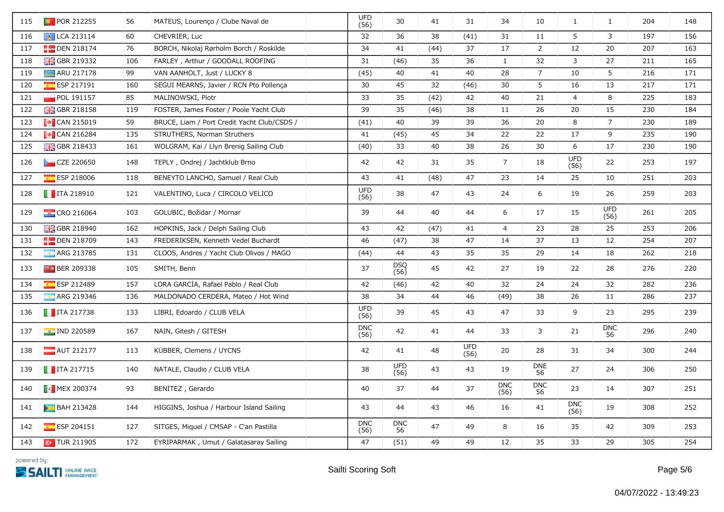| 115 | <b>PD</b> POR 212255                                          | 56  | MATEUS, Lourenço / Clube Naval de           | <b>UFD</b><br>(56) | 30                 | 41   | 31                 | 34                 | 10               | $\mathbf{1}$       | $\mathbf{1}$       | 204 | 148 |
|-----|---------------------------------------------------------------|-----|---------------------------------------------|--------------------|--------------------|------|--------------------|--------------------|------------------|--------------------|--------------------|-----|-----|
| 116 | A LCA 213114                                                  | 60  | CHEVRIER, Luc                               | 32                 | 36                 | 38   | (41)               | 31                 | 11               | 5                  | 3                  | 197 | 156 |
| 117 | <b>DEN 218174</b>                                             | 76  | BORCH, Nikolaj Rørholm Borch / Roskilde     | 34                 | 41                 | (44) | 37                 | 17                 | 2                | 12                 | 20                 | 207 | 163 |
| 118 | <b>H</b> GBR 219332                                           | 106 | FARLEY, Arthur / GOODALL ROOFING            | 31                 | (46)               | 35   | 36                 | $\mathbf{1}$       | 32               | 3                  | 27                 | 211 | 165 |
| 119 | $\frac{1}{2}$ ARU 217178                                      | 99  | VAN AANHOLT, Just / LUCKY 8                 | (45)               | 40                 | 41   | 40                 | 28                 | $\overline{7}$   | 10                 | 5                  | 216 | 171 |
| 120 | ESP 217191                                                    | 160 | SEGUI MEARNS, Javier / RCN Pto Pollença     | 30                 | 45                 | 32   | (46)               | 30                 | 5                | 16                 | 13                 | 217 | 171 |
| 121 | <b>POL 191157</b>                                             | 85  | MALINOWSKI, Piotr                           | 33                 | 35                 | (42) | 42                 | 40                 | 21               | $\overline{4}$     | 8                  | 225 | 183 |
| 122 | <b>H</b> GBR 218158                                           | 119 | FOSTER, James Foster / Poole Yacht Club     | 39                 | 35                 | (46) | 38                 | 11                 | 26               | 20                 | 15                 | 230 | 184 |
| 123 | $\begin{bmatrix} \bullet \\ \bullet \end{bmatrix}$ CAN 215019 | 59  | BRUCE, Liam / Port Credit Yacht Club/CSDS / | (41)               | 40                 | 39   | 39                 | 36                 | 20               | 8                  | $\overline{7}$     | 230 | 189 |
| 124 | $\sim$ CAN 216284                                             | 135 | STRUTHERS, Norman Struthers                 | 41                 | (45)               | 45   | 34                 | 22                 | 22               | 17                 | 9                  | 235 | 190 |
| 125 | <b>H</b> GBR 218433                                           | 161 | WOLGRAM, Kai / Llyn Brenig Sailing Club     | (40)               | 33                 | 40   | 38                 | 26                 | 30               | 6                  | 17                 | 230 | 190 |
| 126 | CZE 220650                                                    | 148 | TEPLY, Ondrej / Jachtklub Brno              | 42                 | 42                 | 31   | 35                 | $\overline{7}$     | 18               | <b>UFD</b><br>(56) | 22                 | 253 | 197 |
| 127 | $E$ ESP 218006                                                | 118 | BENEYTO LANCHO, Samuel / Real Club          | 43                 | 41                 | (48) | 47                 | 23                 | 14               | 25                 | 10                 | 251 | 203 |
| 128 | $\blacksquare$ ITA 218910                                     | 121 | VALENTINO, Luca / CIRCOLO VELICO            | <b>UFD</b><br>(56) | 38                 | 47   | 43                 | 24                 | 6                | 19                 | 26                 | 259 | 203 |
| 129 | $\frac{1}{2}$ CRO 216064                                      | 103 | GOLUBIĆ, Božidar / Mornar                   | 39                 | 44                 | 40   | 44                 | 6                  | 17               | 15                 | <b>UFD</b><br>(56) | 261 | 205 |
| 130 | <b>BR</b> GBR 218940                                          | 162 | HOPKINS, Jack / Delph Sailing Club          | 43                 | 42                 | (47) | 41                 | $\overline{4}$     | 23               | 28                 | 25                 | 253 | 206 |
| 131 | <b>DEN 218709</b>                                             | 143 | FREDERIKSEN, Kenneth Vedel Buchardt         | 46                 | (47)               | 38   | 47                 | 14                 | 37               | 13                 | 12                 | 254 | 207 |
| 132 | ARG 213785                                                    | 131 | CLOOS, Andres / Yacht Club Olivos / MAGO    | (44)               | 44                 | 43   | 35                 | 35                 | 29               | 14                 | 18                 | 262 | 218 |
| 133 | $F0$ BER 209338                                               | 105 | SMITH, Benn                                 | 37                 | <b>DSQ</b><br>(56) | 45   | 42                 | 27                 | 19               | 22                 | 28                 | 276 | 220 |
| 134 | ESP 212489                                                    | 157 | LORA GARCÍA, Rafael Pablo / Real Club       | 42                 | (46)               | 42   | 40                 | 32                 | 24               | 24                 | 32                 | 282 | 236 |
| 135 | <b>ARG 219346</b>                                             | 136 | MALDONADO CERDERA, Mateo / Hot Wind         | 38                 | 34                 | 44   | 46                 | (49)               | 38               | 26                 | 11                 | 286 | 237 |
| 136 | $\blacksquare$ ITA 217738                                     | 133 | LIBRI, Edoardo / CLUB VELA                  | <b>UFD</b><br>(56) | 39                 | 45   | 43                 | 47                 | 33               | 9                  | 23                 | 295 | 239 |
| 137 | $\blacksquare$ IND 220589                                     | 167 | NAIN, Gitesh / GITESH                       | <b>DNC</b><br>(56) | 42                 | 41   | 44                 | 33                 | 3                | 21                 | <b>DNC</b><br>56   | 296 | 240 |
| 138 | AUT 212177                                                    | 113 | KÜBBER, Clemens / UYCNS                     | 42                 | 41                 | 48   | <b>UFD</b><br>(56) | 20                 | 28               | 31                 | 34                 | 300 | 244 |
| 139 | $\blacksquare$ ITA 217715                                     | 140 | NATALE, Claudio / CLUB VELA                 | 38                 | <b>UFD</b><br>(56) | 43   | 43                 | 19                 | <b>DNE</b><br>56 | 27                 | 24                 | 306 | 250 |
| 140 | <b>B</b> MEX 200374                                           | 93  | BENITEZ, Gerardo                            | 40                 | 37                 | 44   | 37                 | <b>DNC</b><br>(56) | <b>DNC</b><br>56 | 23                 | 14                 | 307 | 251 |
| 141 | <b>BAH 213428</b>                                             | 144 | HIGGINS, Joshua / Harbour Island Sailing    | 43                 | 44                 | 43   | 46                 | 16                 | 41               | <b>DNC</b><br>(56) | 19                 | 308 | 252 |
| 142 | $E$ ESP 204151                                                | 127 | SITGES, Miquel / CMSAP - C'an Pastilla      | <b>DNC</b><br>(56) | <b>DNC</b><br>56   | 47   | 49                 | 8                  | 16               | 35                 | 42                 | 309 | 253 |
| 143 | $\sim$ TUR 211905                                             | 172 | EYRIPARMAK, Umut / Galatasaray Sailing      | 47                 | (51)               | 49   | 49                 | 12                 | 35               | 33                 | 29                 | 305 | 254 |
|     |                                                               |     |                                             |                    |                    |      |                    |                    |                  |                    |                    |     |     |